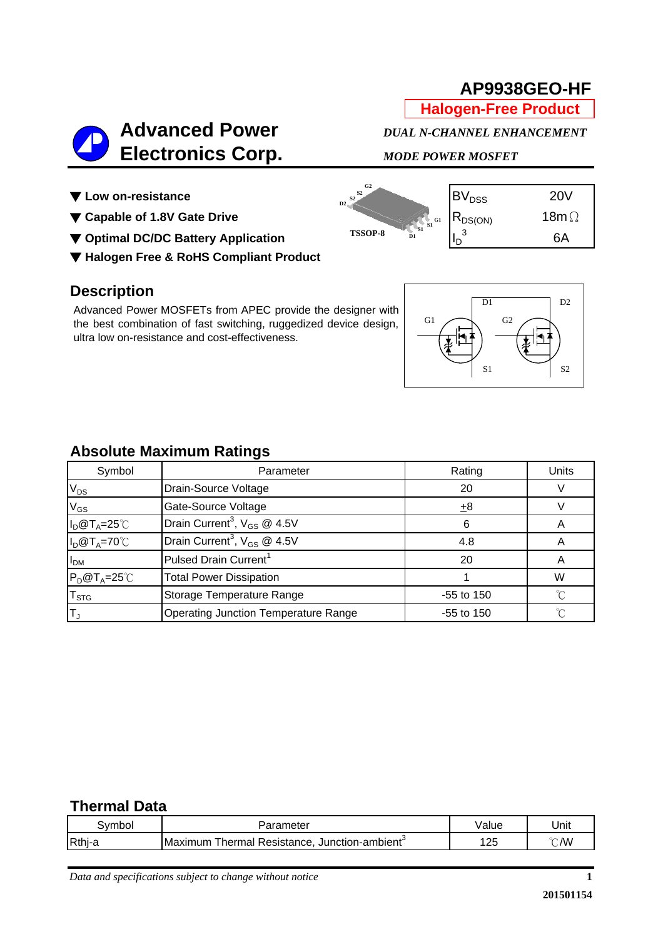6A

**Halogen-Free Product**

# **Advanced Power** *DUAL N-CHANNEL ENHANCEMENT*   **Electronics Corp.** *MODE POWER MOSFET*

**D1 S1 S1 G1**



- **▼ Capable of 1.8V Gate Drive** Research R<sub>DS(ON)</sub> 18mΩ
- ▼ Optimal DC/DC Battery Application **ISSOP-8** ISSOP-8 ID<sub>D</sub> St<sup>St of</sup>
- ▼ **Halogen Free & RoHS Compliant Product**

### **Description**

Advanced Power MOSFETs from APEC provide the designer with the best combination of fast switching, ruggedized device design, ultra low on-resistance and cost-effectiveness.

|    | D1       | D2             |
|----|----------|----------------|
| G1 | G2<br>S1 | S <sub>2</sub> |

## **Absolute Maximum Ratings**

| Symbol                      | Parameter                                    | Rating       | <b>Units</b> |
|-----------------------------|----------------------------------------------|--------------|--------------|
| $\mathsf{V}_{\mathsf{DS}}$  | Drain-Source Voltage                         | 20           |              |
| $\mathsf{V}_{\mathsf{GS}}$  | Gate-Source Voltage                          | ±8           |              |
| $I_D@T_A=25°C$              | Drain Current <sup>3</sup> , $V_{GS}$ @ 4.5V | 6            |              |
| $I_D@T_A=70°C$              | Drain Current <sup>3</sup> , $V_{GS}$ @ 4.5V | 4.8          |              |
| I <sub>DM</sub>             | Pulsed Drain Current <sup>1</sup>            | 20           |              |
| $P_D@T_A=25^{\circ}C$       | <b>Total Power Dissipation</b>               |              | W            |
| $\mathsf{T}_{\texttt{STG}}$ | Storage Temperature Range                    | $-55$ to 150 |              |
|                             | <b>Operating Junction Temperature Range</b>  | $-55$ to 150 | ∽            |

**D2 S2 S2 G2**

**TSSOP-8**

#### **Thermal Data**

| svmbo  | arameter                                                       | ∀alue | Unit                    |
|--------|----------------------------------------------------------------|-------|-------------------------|
| Rthj-a | <b>Thermal Resistance, Junction-ambient</b><br><b>IMaximum</b> | 25    | $\sim$<br>$\mathcal{N}$ |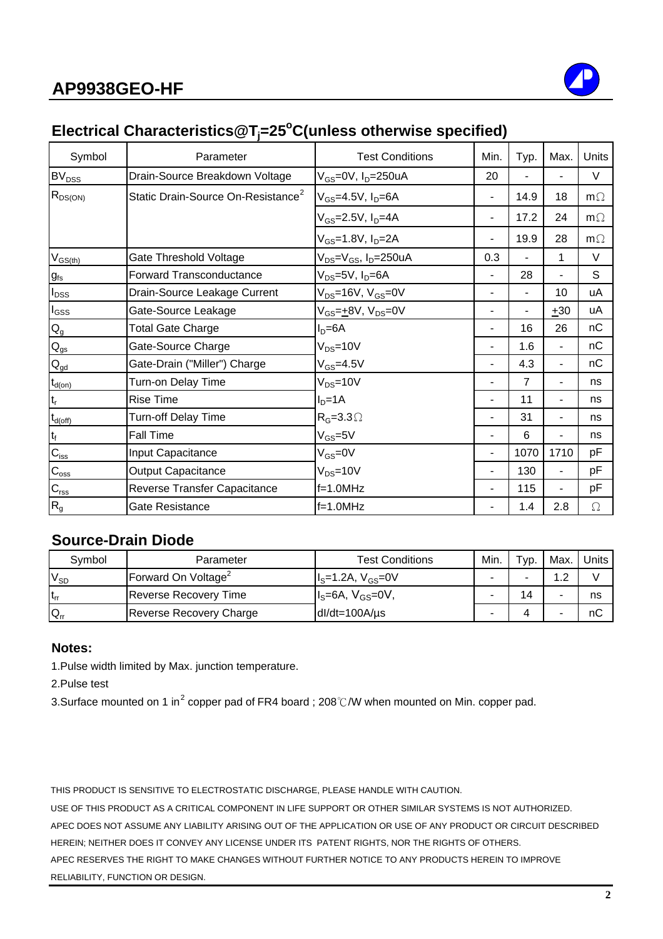

## Electrical Characteristics@T<sub>j</sub>=25<sup>°</sup>C(unless otherwise specified)

| Symbol                    | Parameter                                      | <b>Test Conditions</b>                                   | Min.           | Typ.           | Max.                     | Units     |
|---------------------------|------------------------------------------------|----------------------------------------------------------|----------------|----------------|--------------------------|-----------|
| BV <sub>DSS</sub>         | Drain-Source Breakdown Voltage                 | V <sub>GS</sub> =0V, I <sub>D</sub> =250uA               |                |                |                          | V         |
| $R_{DS(ON)}$              | Static Drain-Source On-Resistance <sup>2</sup> | $V_{GS}$ =4.5V, I <sub>D</sub> =6A                       | $\blacksquare$ | 14.9           | 18                       | $m\Omega$ |
|                           |                                                | V <sub>GS</sub> =2.5V, I <sub>D</sub> =4A                |                | 17.2           | 24                       | $m\Omega$ |
|                           |                                                | $V_{GS} = 1.8 V, I_D = 2A$                               |                | 19.9           | 28                       | $m\Omega$ |
| $V_{GS(th)}$              | Gate Threshold Voltage                         | V <sub>DS</sub> =V <sub>GS</sub> , I <sub>D</sub> =250uA | 0.3            |                | 1                        | $\vee$    |
| $g_{\text{fs}}$           | Forward Transconductance                       | V <sub>DS</sub> =5V, I <sub>D</sub> =6A                  |                | 28             | ۰.                       | S         |
| $I_{DSS}$                 | Drain-Source Leakage Current                   | $V_{DS}$ =16V, $V_{GS}$ =0V                              |                | ۳              | 10                       | uA        |
| $I_{\rm GSS}$             | Gate-Source Leakage                            | $V_{GS} = +8V$ , $V_{DS} = 0V$                           |                |                | $+30$                    | uA        |
| $Q_g$                     | <b>Total Gate Charge</b>                       | $ID=6A$                                                  |                | 16             | 26                       | nC        |
| $Q_{gs}$                  | Gate-Source Charge                             | $V_{DS} = 10V$                                           |                | 1.6            | ۰.                       | nС        |
| $Q_{\underline{gd}}$      | Gate-Drain ("Miller") Charge                   | $V_{GS} = 4.5V$                                          |                | 4.3            | ۰.                       | nC        |
| $t_{d(on)}$               | Turn-on Delay Time                             | $V_{DS} = 10V$                                           |                | $\overline{7}$ | ٠                        | ns        |
| t,                        | <b>Rise Time</b>                               | $I_D = 1A$                                               |                | 11             | ۰.                       | ns        |
| $t_{d(\text{off})}$       | Turn-off Delay Time                            | $R_G = 3.3 \Omega$                                       |                | 31             |                          | ns        |
| $t_f$                     | <b>Fall Time</b>                               | $V_{GS} = 5V$                                            |                | 6              | ٠                        | ns        |
| $C_{\text{iss}}$          | Input Capacitance                              | $V_{GS} = 0V$                                            | $\blacksquare$ | 1070           | 1710                     | pF        |
| $C_{\rm oss}$             | <b>Output Capacitance</b>                      | $V_{DS} = 10V$                                           |                | 130            | $\overline{\phantom{a}}$ | pF        |
| $C_{\rm rss}$             | Reverse Transfer Capacitance                   | $f=1.0$ MHz                                              |                | 115            |                          | рF        |
| $\mathsf{R}_{\mathsf{g}}$ | Gate Resistance                                | $f=1.0MHz$                                               |                | 1.4            | 2.8                      | $\Omega$  |

#### **Source-Drain Diode**

| Symbol   | Parameter                       | <b>Test Conditions</b> | Min. | т <sub>ур.</sub> | Max. | Units |
|----------|---------------------------------|------------------------|------|------------------|------|-------|
| $V_{SD}$ | Forward On Voltage <sup>2</sup> | $IS=1.2A, VGS=0V$      |      |                  | 1 ຕ  |       |
| $t_{rr}$ | <b>Reverse Recovery Time</b>    | $Is=6A, VGS=0V,$       |      |                  |      | ns    |
| $Q_{rr}$ | Reverse Recovery Charge         | $dl/dt = 100A/\mu s$   |      |                  |      | пC    |

#### **Notes:**

1.Pulse width limited by Max. junction temperature.

2.Pulse test

3.Surface mounted on 1 in<sup>2</sup> copper pad of FR4 board ; 208℃/W when mounted on Min. copper pad.

THIS PRODUCT IS SENSITIVE TO ELECTROSTATIC DISCHARGE, PLEASE HANDLE WITH CAUTION.

USE OF THIS PRODUCT AS A CRITICAL COMPONENT IN LIFE SUPPORT OR OTHER SIMILAR SYSTEMS IS NOT AUTHORIZED. APEC DOES NOT ASSUME ANY LIABILITY ARISING OUT OF THE APPLICATION OR USE OF ANY PRODUCT OR CIRCUIT DESCRIBED HEREIN; NEITHER DOES IT CONVEY ANY LICENSE UNDER ITS PATENT RIGHTS, NOR THE RIGHTS OF OTHERS. APEC RESERVES THE RIGHT TO MAKE CHANGES WITHOUT FURTHER NOTICE TO ANY PRODUCTS HEREIN TO IMPROVE RELIABILITY, FUNCTION OR DESIGN.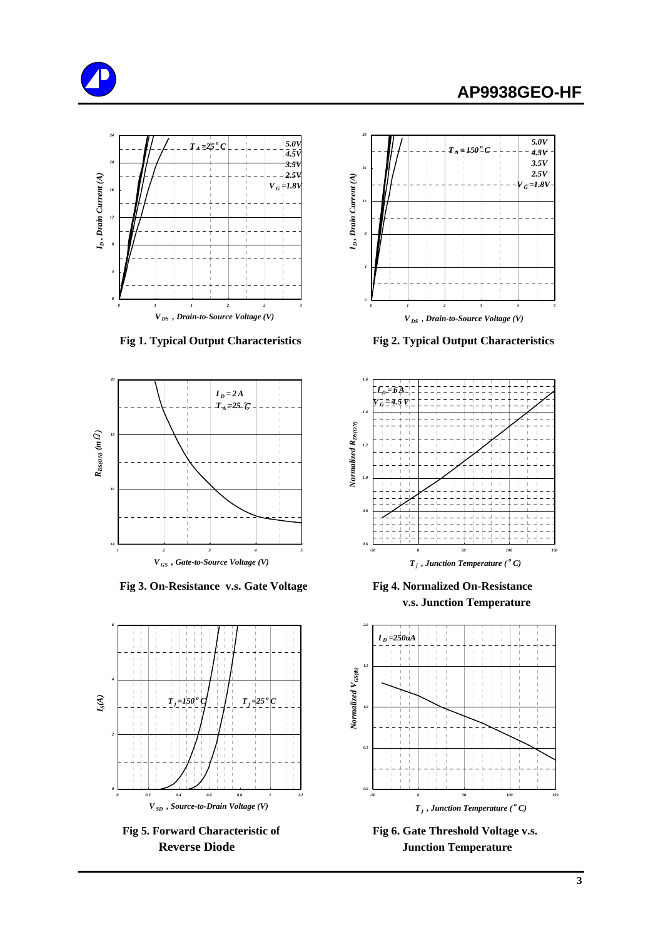





Fig 3. On-Resistance v.s. Gate Voltage Fig 4. Normalized On-Resistance





 **Fig 1. Typical Output Characteristics Fig 2. Typical Output Characteristics**



 **v.s. Junction Temperature**



Fig 5. Forward Characteristic of Fig 6. Gate Threshold Voltage v.s. **Reverse Diode Junction Temperature**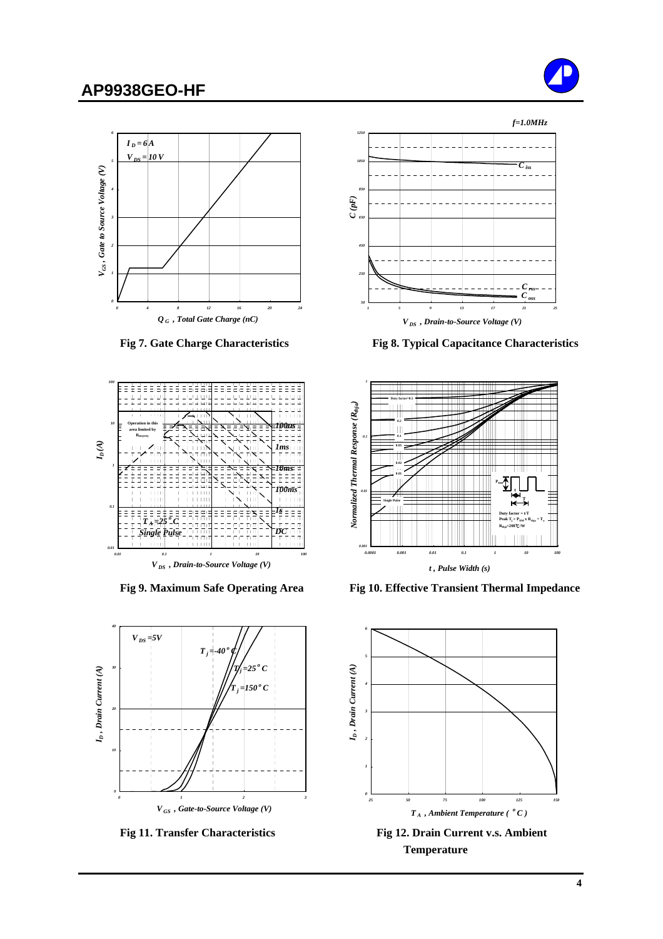





*V DS , Drain-to-Source Voltage (V)*



Fig 11. Transfer Characteristics Fig 12. Drain Current v.s. Ambient



 **Fig 7. Gate Charge Characteristics Fig 8. Typical Capacitance Characteristics**



Fig 9. Maximum Safe Operating Area Fig 10. Effective Transient Thermal Impedance



**Temperature**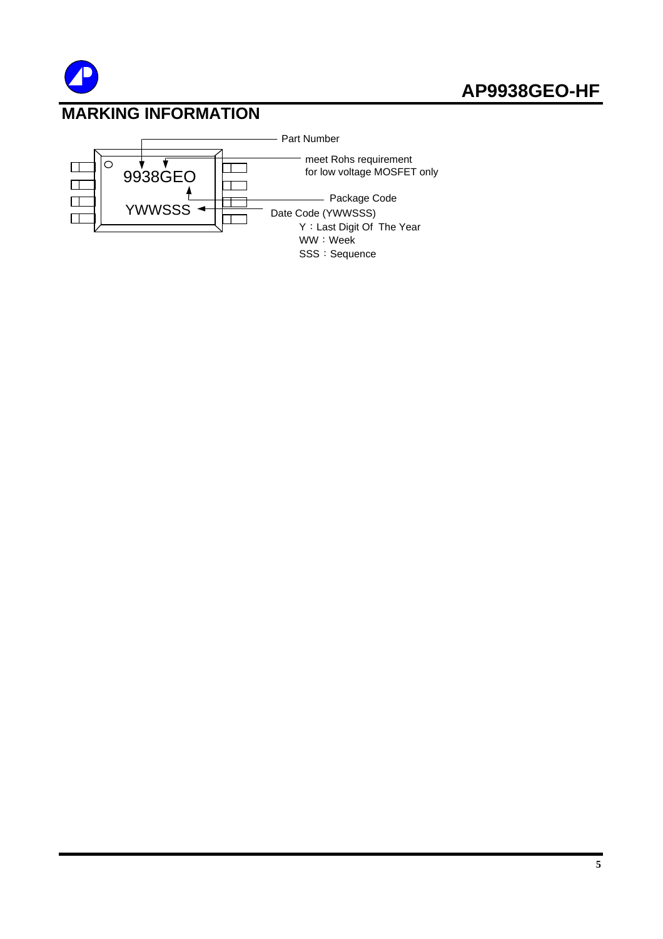

## **MARKING INFORMATION**

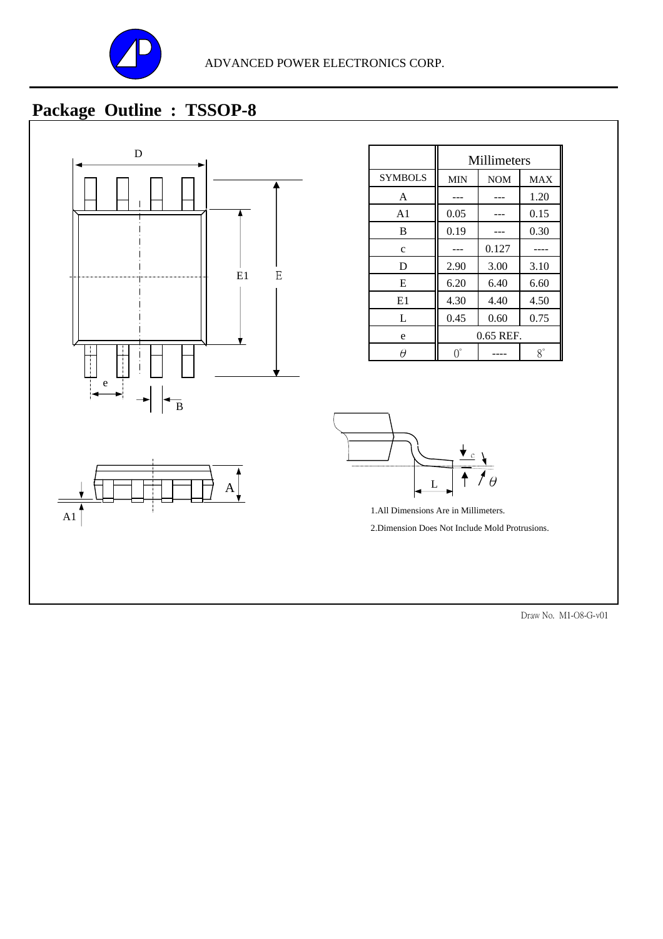

# **Package Outline : TSSOP-8**



|                | Millimeters |            |             |
|----------------|-------------|------------|-------------|
| <b>SYMBOLS</b> | <b>MIN</b>  | <b>NOM</b> | <b>MAX</b>  |
| A              |             |            | 1.20        |
| A1             | 0.05        |            | 0.15        |
| B              | 0.19        |            | 0.30        |
| $\mathbf c$    |             | 0.127      |             |
| D              | 2.90        | 3.00       | 3.10        |
| E              | 6.20        | 6.40       | 6.60        |
| E1             | 4.30        | 4.40       | 4.50        |
| L              | 0.45        | 0.60       | 0.75        |
| e              | 0.65 REF.   |            |             |
|                | ገ゚          |            | $8^{\circ}$ |



1.All Dimensions Are in Millimeters. 2.Dimension Does Not Include Mold Protrusions.

Draw No. M1-O8-G-v01